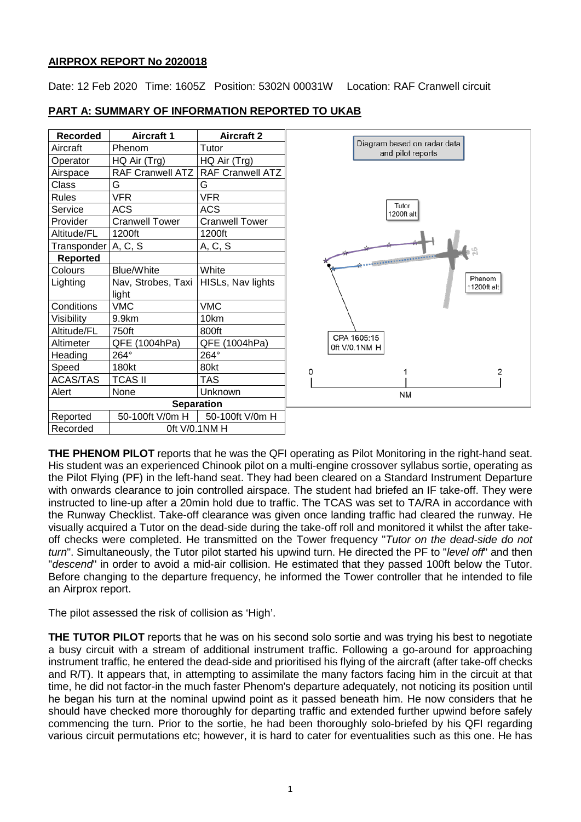## **AIRPROX REPORT No 2020018**

Date: 12 Feb 2020 Time: 1605Z Position: 5302N 00031W Location: RAF Cranwell circuit

| <b>Recorded</b> | <b>Aircraft 1</b>       | <b>Aircraft 2</b>       |  |
|-----------------|-------------------------|-------------------------|--|
| Aircraft        | Phenom                  | Tutor                   |  |
| Operator        | HQ Air (Trg)            | HQ Air (Trg)            |  |
| Airspace        | <b>RAF Cranwell ATZ</b> | <b>RAF Cranwell ATZ</b> |  |
| Class           | G                       | G                       |  |
| <b>Rules</b>    | <b>VFR</b>              | <b>VFR</b>              |  |
| Service         | <b>ACS</b>              | <b>ACS</b>              |  |
| Provider        | <b>Cranwell Tower</b>   | <b>Cranwell Tower</b>   |  |
| Altitude/FL     | 1200ft                  | 1200ft                  |  |
| Transponder     | A, C, S                 | A, C, S                 |  |
| <b>Reported</b> |                         |                         |  |
| Colours         | <b>Blue/White</b>       | White                   |  |
| Lighting        | Nav, Strobes, Taxi      | HISLs, Nav lights       |  |
|                 | light                   |                         |  |
| Conditions      | <b>VMC</b>              | <b>VMC</b>              |  |
| Visibility      | 9.9km                   | 10km                    |  |
| Altitude/FL     | 750ft                   | 800ft                   |  |
| Altimeter       | QFE (1004hPa)           | QFE (1004hPa)           |  |
| Heading         | 264°                    | 264°                    |  |
| Speed           | 180kt                   | 80kt                    |  |
| <b>ACAS/TAS</b> | <b>TCAS II</b>          | <b>TAS</b>              |  |
| Alert           | None                    | Unknown                 |  |
|                 | <b>Separation</b>       |                         |  |
| Reported        | 50-100ft V/0m H         | 50-100ft V/0m H         |  |
| Recorded        | 0ft V/0.1NM H           |                         |  |

# **PART A: SUMMARY OF INFORMATION REPORTED TO UKAB**



**THE PHENOM PILOT** reports that he was the QFI operating as Pilot Monitoring in the right-hand seat. His student was an experienced Chinook pilot on a multi-engine crossover syllabus sortie, operating as the Pilot Flying (PF) in the left-hand seat. They had been cleared on a Standard Instrument Departure with onwards clearance to join controlled airspace. The student had briefed an IF take-off. They were instructed to line-up after a 20min hold due to traffic. The TCAS was set to TA/RA in accordance with the Runway Checklist. Take-off clearance was given once landing traffic had cleared the runway. He visually acquired a Tutor on the dead-side during the take-off roll and monitored it whilst the after takeoff checks were completed. He transmitted on the Tower frequency "*Tutor on the dead-side do not turn*". Simultaneously, the Tutor pilot started his upwind turn. He directed the PF to "*level off*" and then "*descend*" in order to avoid a mid-air collision. He estimated that they passed 100ft below the Tutor. Before changing to the departure frequency, he informed the Tower controller that he intended to file an Airprox report.

The pilot assessed the risk of collision as 'High'.

**THE TUTOR PILOT** reports that he was on his second solo sortie and was trying his best to negotiate a busy circuit with a stream of additional instrument traffic. Following a go-around for approaching instrument traffic, he entered the dead-side and prioritised his flying of the aircraft (after take-off checks and R/T). It appears that, in attempting to assimilate the many factors facing him in the circuit at that time, he did not factor-in the much faster Phenom's departure adequately, not noticing its position until he began his turn at the nominal upwind point as it passed beneath him. He now considers that he should have checked more thoroughly for departing traffic and extended further upwind before safely commencing the turn. Prior to the sortie, he had been thoroughly solo-briefed by his QFI regarding various circuit permutations etc; however, it is hard to cater for eventualities such as this one. He has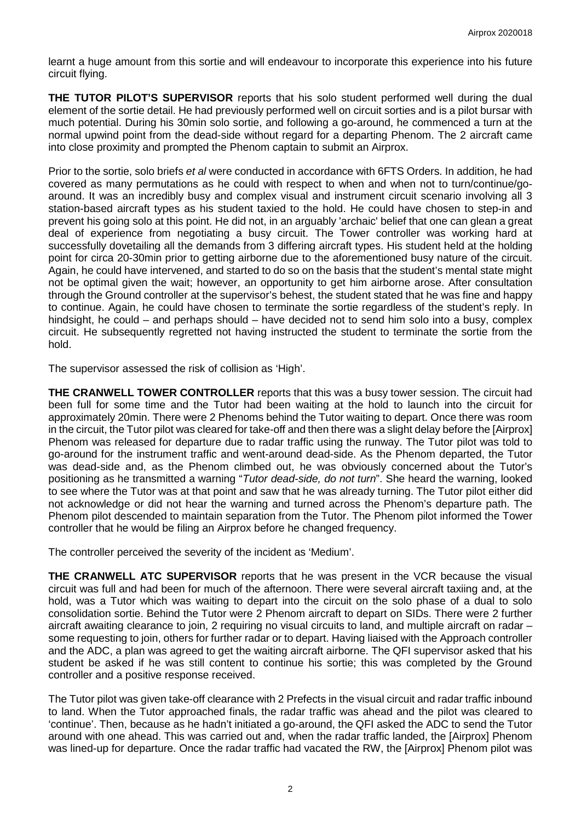learnt a huge amount from this sortie and will endeavour to incorporate this experience into his future circuit flying.

**THE TUTOR PILOT'S SUPERVISOR** reports that his solo student performed well during the dual element of the sortie detail. He had previously performed well on circuit sorties and is a pilot bursar with much potential. During his 30min solo sortie, and following a go-around, he commenced a turn at the normal upwind point from the dead-side without regard for a departing Phenom. The 2 aircraft came into close proximity and prompted the Phenom captain to submit an Airprox.

Prior to the sortie, solo briefs *et al* were conducted in accordance with 6FTS Orders. In addition, he had covered as many permutations as he could with respect to when and when not to turn/continue/goaround. It was an incredibly busy and complex visual and instrument circuit scenario involving all 3 station-based aircraft types as his student taxied to the hold. He could have chosen to step-in and prevent his going solo at this point. He did not, in an arguably 'archaic' belief that one can glean a great deal of experience from negotiating a busy circuit. The Tower controller was working hard at successfully dovetailing all the demands from 3 differing aircraft types. His student held at the holding point for circa 20-30min prior to getting airborne due to the aforementioned busy nature of the circuit. Again, he could have intervened, and started to do so on the basis that the student's mental state might not be optimal given the wait; however, an opportunity to get him airborne arose. After consultation through the Ground controller at the supervisor's behest, the student stated that he was fine and happy to continue. Again, he could have chosen to terminate the sortie regardless of the student's reply. In hindsight, he could – and perhaps should – have decided not to send him solo into a busy, complex circuit. He subsequently regretted not having instructed the student to terminate the sortie from the hold.

The supervisor assessed the risk of collision as 'High'.

**THE CRANWELL TOWER CONTROLLER** reports that this was a busy tower session. The circuit had been full for some time and the Tutor had been waiting at the hold to launch into the circuit for approximately 20min. There were 2 Phenoms behind the Tutor waiting to depart. Once there was room in the circuit, the Tutor pilot was cleared for take-off and then there was a slight delay before the [Airprox] Phenom was released for departure due to radar traffic using the runway. The Tutor pilot was told to go-around for the instrument traffic and went-around dead-side. As the Phenom departed, the Tutor was dead-side and, as the Phenom climbed out, he was obviously concerned about the Tutor's positioning as he transmitted a warning "*Tutor dead-side, do not turn*". She heard the warning, looked to see where the Tutor was at that point and saw that he was already turning. The Tutor pilot either did not acknowledge or did not hear the warning and turned across the Phenom's departure path. The Phenom pilot descended to maintain separation from the Tutor. The Phenom pilot informed the Tower controller that he would be filing an Airprox before he changed frequency.

The controller perceived the severity of the incident as 'Medium'.

**THE CRANWELL ATC SUPERVISOR** reports that he was present in the VCR because the visual circuit was full and had been for much of the afternoon. There were several aircraft taxiing and, at the hold, was a Tutor which was waiting to depart into the circuit on the solo phase of a dual to solo consolidation sortie. Behind the Tutor were 2 Phenom aircraft to depart on SIDs. There were 2 further aircraft awaiting clearance to join, 2 requiring no visual circuits to land, and multiple aircraft on radar – some requesting to join, others for further radar or to depart. Having liaised with the Approach controller and the ADC, a plan was agreed to get the waiting aircraft airborne. The QFI supervisor asked that his student be asked if he was still content to continue his sortie; this was completed by the Ground controller and a positive response received.

The Tutor pilot was given take-off clearance with 2 Prefects in the visual circuit and radar traffic inbound to land. When the Tutor approached finals, the radar traffic was ahead and the pilot was cleared to 'continue'. Then, because as he hadn't initiated a go-around, the QFI asked the ADC to send the Tutor around with one ahead. This was carried out and, when the radar traffic landed, the [Airprox] Phenom was lined-up for departure. Once the radar traffic had vacated the RW, the [Airprox] Phenom pilot was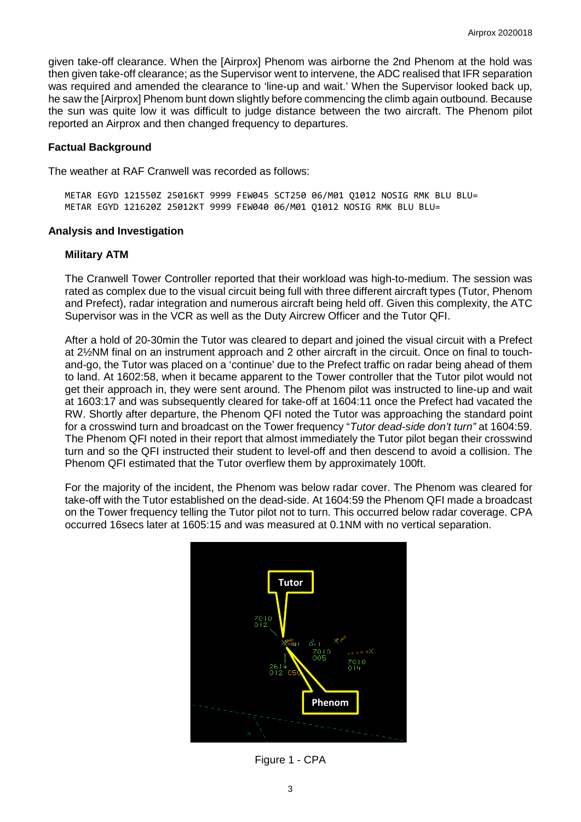given take-off clearance. When the [Airprox] Phenom was airborne the 2nd Phenom at the hold was then given take-off clearance; as the Supervisor went to intervene, the ADC realised that IFR separation was required and amended the clearance to 'line-up and wait.' When the Supervisor looked back up, he saw the [Airprox] Phenom bunt down slightly before commencing the climb again outbound. Because the sun was quite low it was difficult to judge distance between the two aircraft. The Phenom pilot reported an Airprox and then changed frequency to departures.

#### **Factual Background**

The weather at RAF Cranwell was recorded as follows:

METAR EGYD 121550Z 25016KT 9999 FEW045 SCT250 06/M01 Q1012 NOSIG RMK BLU BLU= METAR EGYD 121620Z 25012KT 9999 FEW040 06/M01 Q1012 NOSIG RMK BLU BLU=

#### **Analysis and Investigation**

#### **Military ATM**

The Cranwell Tower Controller reported that their workload was high-to-medium. The session was rated as complex due to the visual circuit being full with three different aircraft types (Tutor, Phenom and Prefect), radar integration and numerous aircraft being held off. Given this complexity, the ATC Supervisor was in the VCR as well as the Duty Aircrew Officer and the Tutor QFI.

After a hold of 20-30min the Tutor was cleared to depart and joined the visual circuit with a Prefect at 2½NM final on an instrument approach and 2 other aircraft in the circuit. Once on final to touchand-go, the Tutor was placed on a 'continue' due to the Prefect traffic on radar being ahead of them to land. At 1602:58, when it became apparent to the Tower controller that the Tutor pilot would not get their approach in, they were sent around. The Phenom pilot was instructed to line-up and wait at 1603:17 and was subsequently cleared for take-off at 1604:11 once the Prefect had vacated the RW. Shortly after departure, the Phenom QFI noted the Tutor was approaching the standard point for a crosswind turn and broadcast on the Tower frequency "*Tutor dead-side don't turn"* at 1604:59. The Phenom QFI noted in their report that almost immediately the Tutor pilot began their crosswind turn and so the QFI instructed their student to level-off and then descend to avoid a collision. The Phenom QFI estimated that the Tutor overflew them by approximately 100ft.

For the majority of the incident, the Phenom was below radar cover. The Phenom was cleared for take-off with the Tutor established on the dead-side. At 1604:59 the Phenom QFI made a broadcast on the Tower frequency telling the Tutor pilot not to turn. This occurred below radar coverage. CPA occurred 16secs later at 1605:15 and was measured at 0.1NM with no vertical separation.



Figure 1 - CPA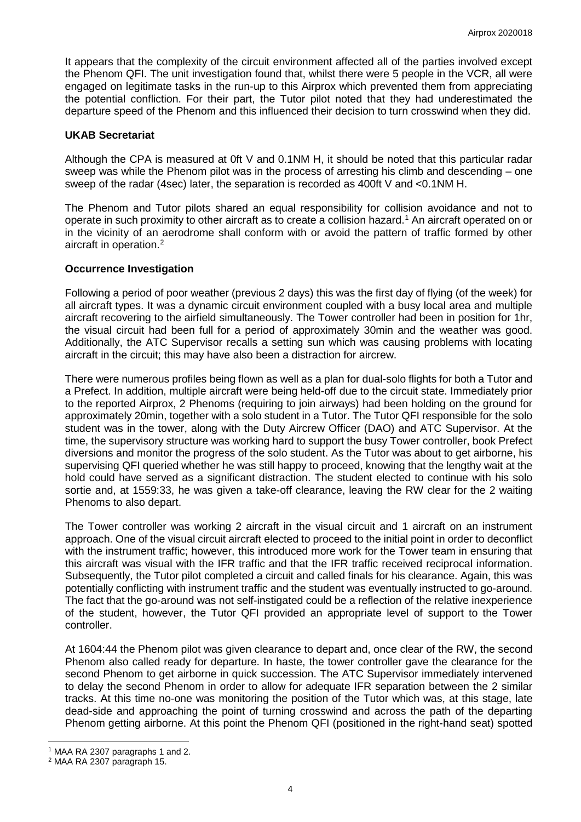It appears that the complexity of the circuit environment affected all of the parties involved except the Phenom QFI. The unit investigation found that, whilst there were 5 people in the VCR, all were engaged on legitimate tasks in the run-up to this Airprox which prevented them from appreciating the potential confliction. For their part, the Tutor pilot noted that they had underestimated the departure speed of the Phenom and this influenced their decision to turn crosswind when they did.

## **UKAB Secretariat**

Although the CPA is measured at 0ft V and 0.1NM H, it should be noted that this particular radar sweep was while the Phenom pilot was in the process of arresting his climb and descending – one sweep of the radar (4sec) later, the separation is recorded as 400ft V and <0.1NM H.

The Phenom and Tutor pilots shared an equal responsibility for collision avoidance and not to operate in such proximity to other aircraft as to create a collision hazard. [1](#page-3-0) An aircraft operated on or in the vicinity of an aerodrome shall conform with or avoid the pattern of traffic formed by other aircraft in operation. [2](#page-3-1)

## **Occurrence Investigation**

Following a period of poor weather (previous 2 days) this was the first day of flying (of the week) for all aircraft types. It was a dynamic circuit environment coupled with a busy local area and multiple aircraft recovering to the airfield simultaneously. The Tower controller had been in position for 1hr, the visual circuit had been full for a period of approximately 30min and the weather was good. Additionally, the ATC Supervisor recalls a setting sun which was causing problems with locating aircraft in the circuit; this may have also been a distraction for aircrew.

There were numerous profiles being flown as well as a plan for dual-solo flights for both a Tutor and a Prefect. In addition, multiple aircraft were being held-off due to the circuit state. Immediately prior to the reported Airprox, 2 Phenoms (requiring to join airways) had been holding on the ground for approximately 20min, together with a solo student in a Tutor. The Tutor QFI responsible for the solo student was in the tower, along with the Duty Aircrew Officer (DAO) and ATC Supervisor. At the time, the supervisory structure was working hard to support the busy Tower controller, book Prefect diversions and monitor the progress of the solo student. As the Tutor was about to get airborne, his supervising QFI queried whether he was still happy to proceed, knowing that the lengthy wait at the hold could have served as a significant distraction. The student elected to continue with his solo sortie and, at 1559:33, he was given a take-off clearance, leaving the RW clear for the 2 waiting Phenoms to also depart.

The Tower controller was working 2 aircraft in the visual circuit and 1 aircraft on an instrument approach. One of the visual circuit aircraft elected to proceed to the initial point in order to deconflict with the instrument traffic; however, this introduced more work for the Tower team in ensuring that this aircraft was visual with the IFR traffic and that the IFR traffic received reciprocal information. Subsequently, the Tutor pilot completed a circuit and called finals for his clearance. Again, this was potentially conflicting with instrument traffic and the student was eventually instructed to go-around. The fact that the go-around was not self-instigated could be a reflection of the relative inexperience of the student, however, the Tutor QFI provided an appropriate level of support to the Tower controller.

At 1604:44 the Phenom pilot was given clearance to depart and, once clear of the RW, the second Phenom also called ready for departure. In haste, the tower controller gave the clearance for the second Phenom to get airborne in quick succession. The ATC Supervisor immediately intervened to delay the second Phenom in order to allow for adequate IFR separation between the 2 similar tracks. At this time no-one was monitoring the position of the Tutor which was, at this stage, late dead-side and approaching the point of turning crosswind and across the path of the departing Phenom getting airborne. At this point the Phenom QFI (positioned in the right-hand seat) spotted

 $\overline{\phantom{a}}$ <sup>1</sup> MAA RA 2307 paragraphs 1 and 2.

<span id="page-3-1"></span><span id="page-3-0"></span><sup>2</sup> MAA RA 2307 paragraph 15.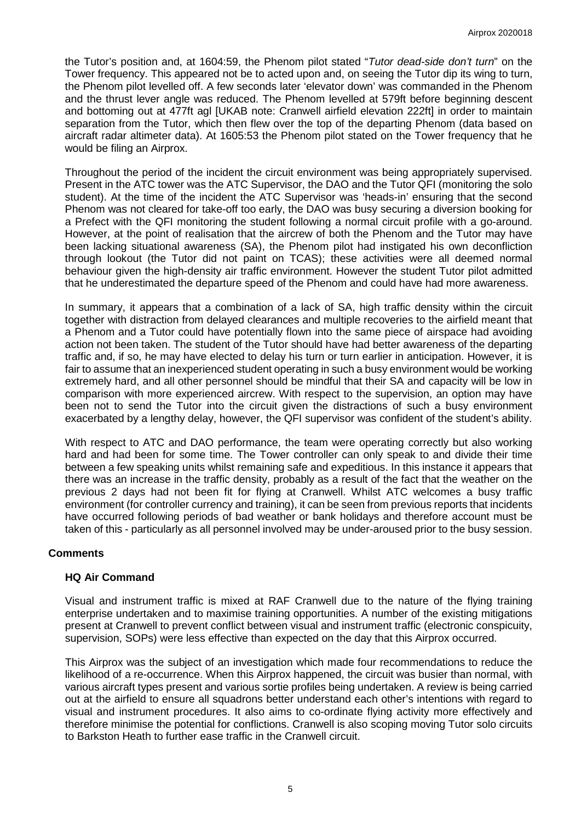the Tutor's position and, at 1604:59, the Phenom pilot stated "*Tutor dead-side don't turn*" on the Tower frequency. This appeared not be to acted upon and, on seeing the Tutor dip its wing to turn, the Phenom pilot levelled off. A few seconds later 'elevator down' was commanded in the Phenom and the thrust lever angle was reduced. The Phenom levelled at 579ft before beginning descent and bottoming out at 477ft agl [UKAB note: Cranwell airfield elevation 222ft] in order to maintain separation from the Tutor, which then flew over the top of the departing Phenom (data based on aircraft radar altimeter data). At 1605:53 the Phenom pilot stated on the Tower frequency that he would be filing an Airprox.

Throughout the period of the incident the circuit environment was being appropriately supervised. Present in the ATC tower was the ATC Supervisor, the DAO and the Tutor QFI (monitoring the solo student). At the time of the incident the ATC Supervisor was 'heads-in' ensuring that the second Phenom was not cleared for take-off too early, the DAO was busy securing a diversion booking for a Prefect with the QFI monitoring the student following a normal circuit profile with a go-around. However, at the point of realisation that the aircrew of both the Phenom and the Tutor may have been lacking situational awareness (SA), the Phenom pilot had instigated his own deconfliction through lookout (the Tutor did not paint on TCAS); these activities were all deemed normal behaviour given the high-density air traffic environment. However the student Tutor pilot admitted that he underestimated the departure speed of the Phenom and could have had more awareness.

In summary, it appears that a combination of a lack of SA, high traffic density within the circuit together with distraction from delayed clearances and multiple recoveries to the airfield meant that a Phenom and a Tutor could have potentially flown into the same piece of airspace had avoiding action not been taken. The student of the Tutor should have had better awareness of the departing traffic and, if so, he may have elected to delay his turn or turn earlier in anticipation. However, it is fair to assume that an inexperienced student operating in such a busy environment would be working extremely hard, and all other personnel should be mindful that their SA and capacity will be low in comparison with more experienced aircrew. With respect to the supervision, an option may have been not to send the Tutor into the circuit given the distractions of such a busy environment exacerbated by a lengthy delay, however, the QFI supervisor was confident of the student's ability.

With respect to ATC and DAO performance, the team were operating correctly but also working hard and had been for some time. The Tower controller can only speak to and divide their time between a few speaking units whilst remaining safe and expeditious. In this instance it appears that there was an increase in the traffic density, probably as a result of the fact that the weather on the previous 2 days had not been fit for flying at Cranwell. Whilst ATC welcomes a busy traffic environment (for controller currency and training), it can be seen from previous reports that incidents have occurred following periods of bad weather or bank holidays and therefore account must be taken of this - particularly as all personnel involved may be under-aroused prior to the busy session.

# **Comments**

#### **HQ Air Command**

Visual and instrument traffic is mixed at RAF Cranwell due to the nature of the flying training enterprise undertaken and to maximise training opportunities. A number of the existing mitigations present at Cranwell to prevent conflict between visual and instrument traffic (electronic conspicuity, supervision, SOPs) were less effective than expected on the day that this Airprox occurred.

This Airprox was the subject of an investigation which made four recommendations to reduce the likelihood of a re-occurrence. When this Airprox happened, the circuit was busier than normal, with various aircraft types present and various sortie profiles being undertaken. A review is being carried out at the airfield to ensure all squadrons better understand each other's intentions with regard to visual and instrument procedures. It also aims to co-ordinate flying activity more effectively and therefore minimise the potential for conflictions. Cranwell is also scoping moving Tutor solo circuits to Barkston Heath to further ease traffic in the Cranwell circuit.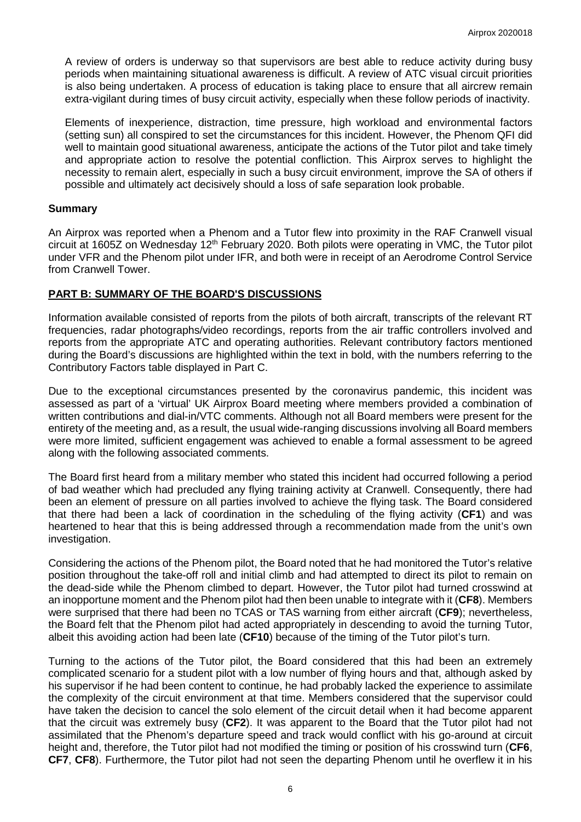A review of orders is underway so that supervisors are best able to reduce activity during busy periods when maintaining situational awareness is difficult. A review of ATC visual circuit priorities is also being undertaken. A process of education is taking place to ensure that all aircrew remain extra-vigilant during times of busy circuit activity, especially when these follow periods of inactivity.

Elements of inexperience, distraction, time pressure, high workload and environmental factors (setting sun) all conspired to set the circumstances for this incident. However, the Phenom QFI did well to maintain good situational awareness, anticipate the actions of the Tutor pilot and take timely and appropriate action to resolve the potential confliction. This Airprox serves to highlight the necessity to remain alert, especially in such a busy circuit environment, improve the SA of others if possible and ultimately act decisively should a loss of safe separation look probable.

# **Summary**

An Airprox was reported when a Phenom and a Tutor flew into proximity in the RAF Cranwell visual circuit at 1605Z on Wednesday 12<sup>th</sup> February 2020. Both pilots were operating in VMC, the Tutor pilot under VFR and the Phenom pilot under IFR, and both were in receipt of an Aerodrome Control Service from Cranwell Tower.

# **PART B: SUMMARY OF THE BOARD'S DISCUSSIONS**

Information available consisted of reports from the pilots of both aircraft, transcripts of the relevant RT frequencies, radar photographs/video recordings, reports from the air traffic controllers involved and reports from the appropriate ATC and operating authorities. Relevant contributory factors mentioned during the Board's discussions are highlighted within the text in bold, with the numbers referring to the Contributory Factors table displayed in Part C.

Due to the exceptional circumstances presented by the coronavirus pandemic, this incident was assessed as part of a 'virtual' UK Airprox Board meeting where members provided a combination of written contributions and dial-in/VTC comments. Although not all Board members were present for the entirety of the meeting and, as a result, the usual wide-ranging discussions involving all Board members were more limited, sufficient engagement was achieved to enable a formal assessment to be agreed along with the following associated comments.

The Board first heard from a military member who stated this incident had occurred following a period of bad weather which had precluded any flying training activity at Cranwell. Consequently, there had been an element of pressure on all parties involved to achieve the flying task. The Board considered that there had been a lack of coordination in the scheduling of the flying activity (**CF1**) and was heartened to hear that this is being addressed through a recommendation made from the unit's own investigation.

Considering the actions of the Phenom pilot, the Board noted that he had monitored the Tutor's relative position throughout the take-off roll and initial climb and had attempted to direct its pilot to remain on the dead-side while the Phenom climbed to depart. However, the Tutor pilot had turned crosswind at an inopportune moment and the Phenom pilot had then been unable to integrate with it (**CF8**). Members were surprised that there had been no TCAS or TAS warning from either aircraft (**CF9**); nevertheless, the Board felt that the Phenom pilot had acted appropriately in descending to avoid the turning Tutor, albeit this avoiding action had been late (**CF10**) because of the timing of the Tutor pilot's turn.

Turning to the actions of the Tutor pilot, the Board considered that this had been an extremely complicated scenario for a student pilot with a low number of flying hours and that, although asked by his supervisor if he had been content to continue, he had probably lacked the experience to assimilate the complexity of the circuit environment at that time. Members considered that the supervisor could have taken the decision to cancel the solo element of the circuit detail when it had become apparent that the circuit was extremely busy (**CF2**). It was apparent to the Board that the Tutor pilot had not assimilated that the Phenom's departure speed and track would conflict with his go-around at circuit height and, therefore, the Tutor pilot had not modified the timing or position of his crosswind turn (**CF6**, **CF7**, **CF8**). Furthermore, the Tutor pilot had not seen the departing Phenom until he overflew it in his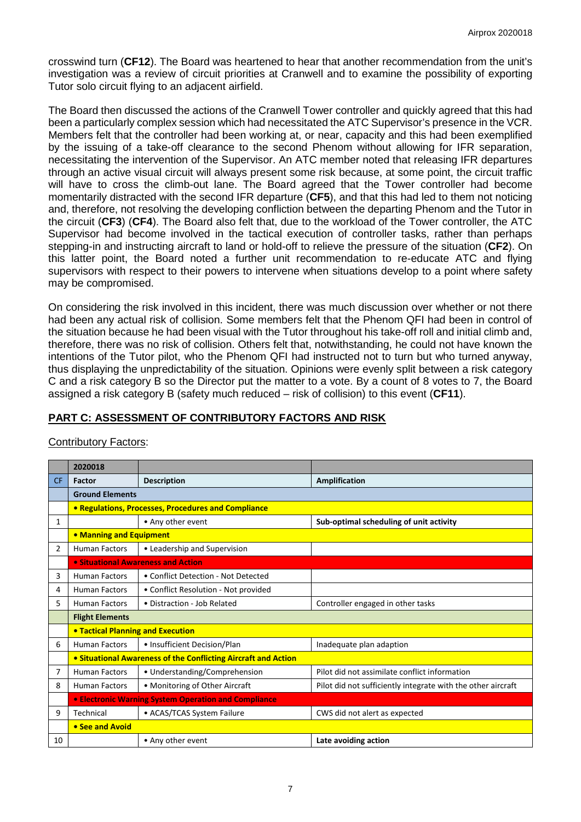crosswind turn (**CF12**). The Board was heartened to hear that another recommendation from the unit's investigation was a review of circuit priorities at Cranwell and to examine the possibility of exporting Tutor solo circuit flying to an adjacent airfield.

The Board then discussed the actions of the Cranwell Tower controller and quickly agreed that this had been a particularly complex session which had necessitated the ATC Supervisor's presence in the VCR. Members felt that the controller had been working at, or near, capacity and this had been exemplified by the issuing of a take-off clearance to the second Phenom without allowing for IFR separation, necessitating the intervention of the Supervisor. An ATC member noted that releasing IFR departures through an active visual circuit will always present some risk because, at some point, the circuit traffic will have to cross the climb-out lane. The Board agreed that the Tower controller had become momentarily distracted with the second IFR departure (**CF5**), and that this had led to them not noticing and, therefore, not resolving the developing confliction between the departing Phenom and the Tutor in the circuit (**CF3**) (**CF4**). The Board also felt that, due to the workload of the Tower controller, the ATC Supervisor had become involved in the tactical execution of controller tasks, rather than perhaps stepping-in and instructing aircraft to land or hold-off to relieve the pressure of the situation (**CF2**). On this latter point, the Board noted a further unit recommendation to re-educate ATC and flying supervisors with respect to their powers to intervene when situations develop to a point where safety may be compromised.

On considering the risk involved in this incident, there was much discussion over whether or not there had been any actual risk of collision. Some members felt that the Phenom QFI had been in control of the situation because he had been visual with the Tutor throughout his take-off roll and initial climb and, therefore, there was no risk of collision. Others felt that, notwithstanding, he could not have known the intentions of the Tutor pilot, who the Phenom QFI had instructed not to turn but who turned anyway, thus displaying the unpredictability of the situation. Opinions were evenly split between a risk category C and a risk category B so the Director put the matter to a vote. By a count of 8 votes to 7, the Board assigned a risk category B (safety much reduced – risk of collision) to this event (**CF11**).

# **PART C: ASSESSMENT OF CONTRIBUTORY FACTORS AND RISK**

|                | 2020018                                                        |                                      |                                                              |  |  |
|----------------|----------------------------------------------------------------|--------------------------------------|--------------------------------------------------------------|--|--|
| <b>CF</b>      | Factor                                                         | <b>Description</b>                   | Amplification                                                |  |  |
|                | <b>Ground Elements</b>                                         |                                      |                                                              |  |  |
|                | • Regulations, Processes, Procedures and Compliance            |                                      |                                                              |  |  |
| 1              |                                                                | • Any other event                    | Sub-optimal scheduling of unit activity                      |  |  |
|                | • Manning and Equipment                                        |                                      |                                                              |  |  |
| $\overline{2}$ | <b>Human Factors</b>                                           | • Leadership and Supervision         |                                                              |  |  |
|                | • Situational Awareness and Action                             |                                      |                                                              |  |  |
| 3              | <b>Human Factors</b>                                           | • Conflict Detection - Not Detected  |                                                              |  |  |
| 4              | <b>Human Factors</b>                                           | • Conflict Resolution - Not provided |                                                              |  |  |
| 5.             | <b>Human Factors</b>                                           | • Distraction - Job Related          | Controller engaged in other tasks                            |  |  |
|                | <b>Flight Elements</b>                                         |                                      |                                                              |  |  |
|                | <b>• Tactical Planning and Execution</b>                       |                                      |                                                              |  |  |
| 6              | <b>Human Factors</b>                                           | • Insufficient Decision/Plan         | Inadequate plan adaption                                     |  |  |
|                | • Situational Awareness of the Conflicting Aircraft and Action |                                      |                                                              |  |  |
| 7              | <b>Human Factors</b>                                           | • Understanding/Comprehension        | Pilot did not assimilate conflict information                |  |  |
| 8              | <b>Human Factors</b>                                           | • Monitoring of Other Aircraft       | Pilot did not sufficiently integrate with the other aircraft |  |  |
|                | • Electronic Warning System Operation and Compliance           |                                      |                                                              |  |  |
| 9              | Technical                                                      | • ACAS/TCAS System Failure           | CWS did not alert as expected                                |  |  |
|                | • See and Avoid                                                |                                      |                                                              |  |  |
| 10             |                                                                | • Any other event                    | Late avoiding action                                         |  |  |

# Contributory Factors: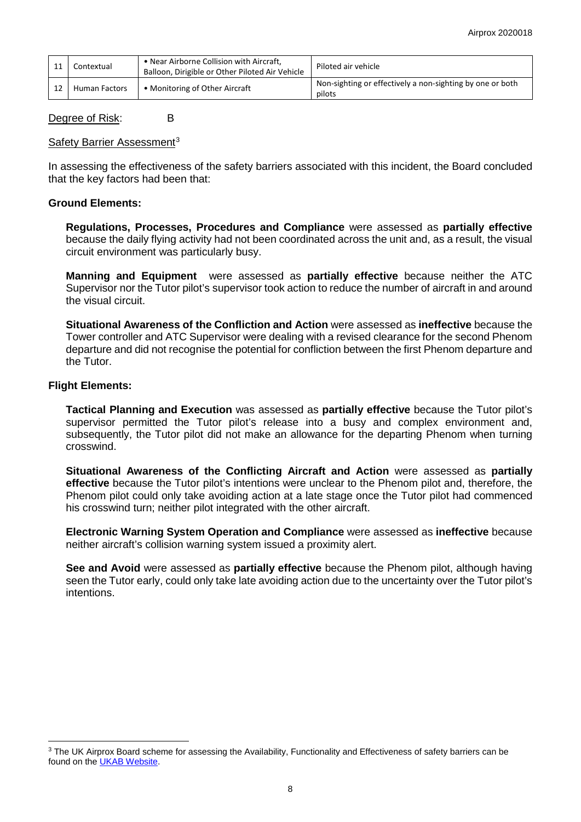| Contextual           | • Near Airborne Collision with Aircraft,<br>Balloon, Dirigible or Other Piloted Air Vehicle | Piloted air vehicle                                                 |
|----------------------|---------------------------------------------------------------------------------------------|---------------------------------------------------------------------|
| <b>Human Factors</b> | • Monitoring of Other Aircraft                                                              | Non-sighting or effectively a non-sighting by one or both<br>pilots |

## Degree of Risk: B

## Safety Barrier Assessment<sup>[3](#page-7-0)</sup>

In assessing the effectiveness of the safety barriers associated with this incident, the Board concluded that the key factors had been that:

### **Ground Elements:**

**Regulations, Processes, Procedures and Compliance** were assessed as **partially effective** because the daily flying activity had not been coordinated across the unit and, as a result, the visual circuit environment was particularly busy.

**Manning and Equipment** were assessed as **partially effective** because neither the ATC Supervisor nor the Tutor pilot's supervisor took action to reduce the number of aircraft in and around the visual circuit.

**Situational Awareness of the Confliction and Action** were assessed as **ineffective** because the Tower controller and ATC Supervisor were dealing with a revised clearance for the second Phenom departure and did not recognise the potential for confliction between the first Phenom departure and the Tutor.

## **Flight Elements:**

 $\overline{\phantom{a}}$ 

**Tactical Planning and Execution** was assessed as **partially effective** because the Tutor pilot's supervisor permitted the Tutor pilot's release into a busy and complex environment and, subsequently, the Tutor pilot did not make an allowance for the departing Phenom when turning crosswind.

**Situational Awareness of the Conflicting Aircraft and Action** were assessed as **partially effective** because the Tutor pilot's intentions were unclear to the Phenom pilot and, therefore, the Phenom pilot could only take avoiding action at a late stage once the Tutor pilot had commenced his crosswind turn; neither pilot integrated with the other aircraft.

**Electronic Warning System Operation and Compliance** were assessed as **ineffective** because neither aircraft's collision warning system issued a proximity alert.

**See and Avoid** were assessed as **partially effective** because the Phenom pilot, although having seen the Tutor early, could only take late avoiding action due to the uncertainty over the Tutor pilot's intentions.

<span id="page-7-0"></span><sup>&</sup>lt;sup>3</sup> The UK Airprox Board scheme for assessing the Availability, Functionality and Effectiveness of safety barriers can be found on the [UKAB Website.](http://www.airproxboard.org.uk/Learn-more/Airprox-Barrier-Assessment/)